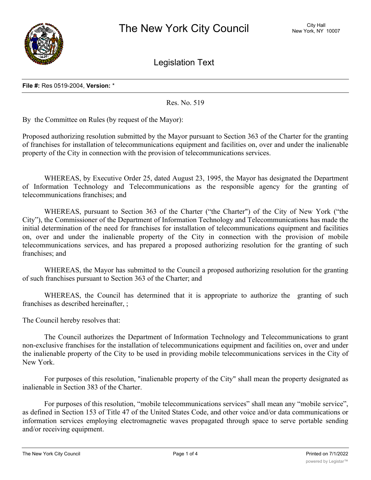

Legislation Text

Res. No. 519

By the Committee on Rules (by request of the Mayor):

Proposed authorizing resolution submitted by the Mayor pursuant to Section 363 of the Charter for the granting of franchises for installation of telecommunications equipment and facilities on, over and under the inalienable property of the City in connection with the provision of telecommunications services.

WHEREAS, by Executive Order 25, dated August 23, 1995, the Mayor has designated the Department of Information Technology and Telecommunications as the responsible agency for the granting of telecommunications franchises; and

WHEREAS, pursuant to Section 363 of the Charter ("the Charter") of the City of New York ("the City"), the Commissioner of the Department of Information Technology and Telecommunications has made the initial determination of the need for franchises for installation of telecommunications equipment and facilities on, over and under the inalienable property of the City in connection with the provision of mobile telecommunications services, and has prepared a proposed authorizing resolution for the granting of such franchises; and

WHEREAS, the Mayor has submitted to the Council a proposed authorizing resolution for the granting of such franchises pursuant to Section 363 of the Charter; and

WHEREAS, the Council has determined that it is appropriate to authorize the granting of such franchises as described hereinafter, ;

The Council hereby resolves that:

The Council authorizes the Department of Information Technology and Telecommunications to grant non-exclusive franchises for the installation of telecommunications equipment and facilities on, over and under the inalienable property of the City to be used in providing mobile telecommunications services in the City of New York.

For purposes of this resolution, "inalienable property of the City" shall mean the property designated as inalienable in Section 383 of the Charter.

For purposes of this resolution, "mobile telecommunications services" shall mean any "mobile service", as defined in Section 153 of Title 47 of the United States Code, and other voice and/or data communications or information services employing electromagnetic waves propagated through space to serve portable sending and/or receiving equipment.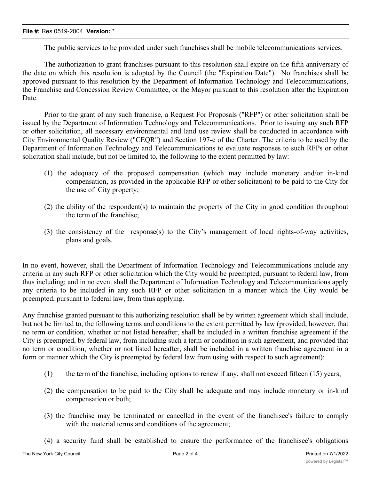The public services to be provided under such franchises shall be mobile telecommunications services.

The authorization to grant franchises pursuant to this resolution shall expire on the fifth anniversary of the date on which this resolution is adopted by the Council (the "Expiration Date"). No franchises shall be approved pursuant to this resolution by the Department of Information Technology and Telecommunications, the Franchise and Concession Review Committee, or the Mayor pursuant to this resolution after the Expiration Date.

Prior to the grant of any such franchise, a Request For Proposals ("RFP") or other solicitation shall be issued by the Department of Information Technology and Telecommunications. Prior to issuing any such RFP or other solicitation, all necessary environmental and land use review shall be conducted in accordance with City Environmental Quality Review ("CEQR") and Section 197-c of the Charter. The criteria to be used by the Department of Information Technology and Telecommunications to evaluate responses to such RFPs or other solicitation shall include, but not be limited to, the following to the extent permitted by law:

- (1) the adequacy of the proposed compensation (which may include monetary and/or in-kind compensation, as provided in the applicable RFP or other solicitation) to be paid to the City for the use of City property;
- (2) the ability of the respondent(s) to maintain the property of the City in good condition throughout the term of the franchise;
- (3) the consistency of the response(s) to the City's management of local rights-of-way activities, plans and goals.

In no event, however, shall the Department of Information Technology and Telecommunications include any criteria in any such RFP or other solicitation which the City would be preempted, pursuant to federal law, from thus including; and in no event shall the Department of Information Technology and Telecommunications apply any criteria to be included in any such RFP or other solicitation in a manner which the City would be preempted, pursuant to federal law, from thus applying.

Any franchise granted pursuant to this authorizing resolution shall be by written agreement which shall include, but not be limited to, the following terms and conditions to the extent permitted by law (provided, however, that no term or condition, whether or not listed hereafter, shall be included in a written franchise agreement if the City is preempted, by federal law, from including such a term or condition in such agreement, and provided that no term or condition, whether or not listed hereafter, shall be included in a written franchise agreement in a form or manner which the City is preempted by federal law from using with respect to such agreement):

- (1) the term of the franchise, including options to renew if any, shall not exceed fifteen (15) years;
- (2) the compensation to be paid to the City shall be adequate and may include monetary or in-kind compensation or both;
- (3) the franchise may be terminated or cancelled in the event of the franchisee's failure to comply with the material terms and conditions of the agreement;
- (4) a security fund shall be established to ensure the performance of the franchisee's obligations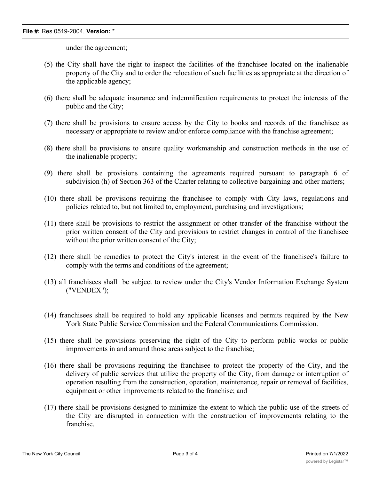under the agreement;

- (5) the City shall have the right to inspect the facilities of the franchisee located on the inalienable property of the City and to order the relocation of such facilities as appropriate at the direction of the applicable agency;
- (6) there shall be adequate insurance and indemnification requirements to protect the interests of the public and the City;
- (7) there shall be provisions to ensure access by the City to books and records of the franchisee as necessary or appropriate to review and/or enforce compliance with the franchise agreement;
- (8) there shall be provisions to ensure quality workmanship and construction methods in the use of the inalienable property;
- (9) there shall be provisions containing the agreements required pursuant to paragraph 6 of subdivision (h) of Section 363 of the Charter relating to collective bargaining and other matters;
- (10) there shall be provisions requiring the franchisee to comply with City laws, regulations and policies related to, but not limited to, employment, purchasing and investigations;
- (11) there shall be provisions to restrict the assignment or other transfer of the franchise without the prior written consent of the City and provisions to restrict changes in control of the franchisee without the prior written consent of the City;
- (12) there shall be remedies to protect the City's interest in the event of the franchisee's failure to comply with the terms and conditions of the agreement;
- (13) all franchisees shall be subject to review under the City's Vendor Information Exchange System ("VENDEX");
- (14) franchisees shall be required to hold any applicable licenses and permits required by the New York State Public Service Commission and the Federal Communications Commission.
- (15) there shall be provisions preserving the right of the City to perform public works or public improvements in and around those areas subject to the franchise;
- (16) there shall be provisions requiring the franchisee to protect the property of the City, and the delivery of public services that utilize the property of the City, from damage or interruption of operation resulting from the construction, operation, maintenance, repair or removal of facilities, equipment or other improvements related to the franchise; and
- (17) there shall be provisions designed to minimize the extent to which the public use of the streets of the City are disrupted in connection with the construction of improvements relating to the franchise.